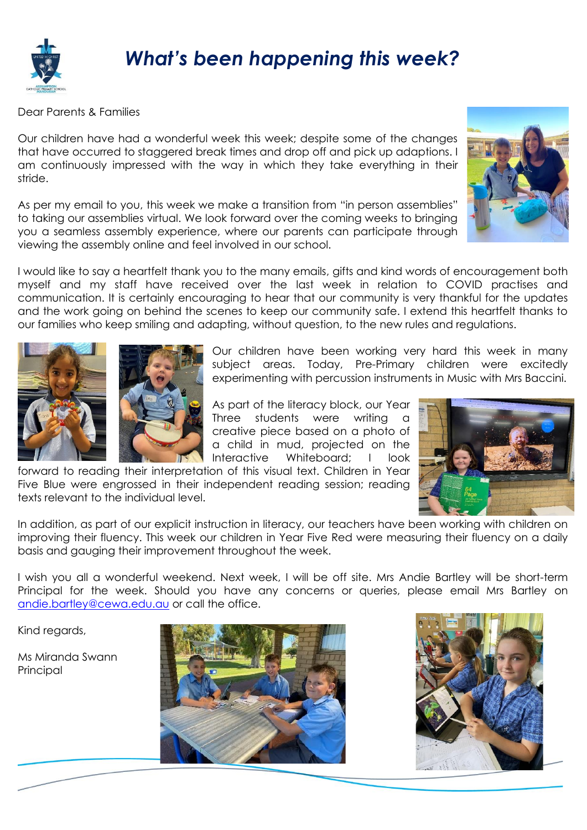

## *What's been happening this week?*

Dear Parents & Families

Our children have had a wonderful week this week; despite some of the changes that have occurred to staggered break times and drop off and pick up adaptions. I am continuously impressed with the way in which they take everything in their stride.

As per my email to you, this week we make a transition from "in person assemblies" to taking our assemblies virtual. We look forward over the coming weeks to bringing you a seamless assembly experience, where our parents can participate through viewing the assembly online and feel involved in our school.



I would like to say a heartfelt thank you to the many emails, gifts and kind words of encouragement both myself and my staff have received over the last week in relation to COVID practises and communication. It is certainly encouraging to hear that our community is very thankful for the updates and the work going on behind the scenes to keep our community safe. I extend this heartfelt thanks to our families who keep smiling and adapting, without question, to the new rules and regulations.





Our children have been working very hard this week in many subject areas. Today, Pre-Primary children were excitedly experimenting with percussion instruments in Music with Mrs Baccini.

As part of the literacy block, our Year Three students were writing a creative piece based on a photo of a child in mud, projected on the Interactive Whiteboard; I look

forward to reading their interpretation of this visual text. Children in Year Five Blue were engrossed in their independent reading session; reading texts relevant to the individual level.



In addition, as part of our explicit instruction in literacy, our teachers have been working with children on improving their fluency. This week our children in Year Five Red were measuring their fluency on a daily basis and gauging their improvement throughout the week.

I wish you all a wonderful weekend. Next week, I will be off site. Mrs Andie Bartley will be short-term Principal for the week. Should you have any concerns or queries, please email Mrs Bartley on [andie.bartley@cewa.edu.au](mailto:andie.bartley@cewa.edu.au) or call the office.

Kind regards,

Ms Miranda Swann **Principal**